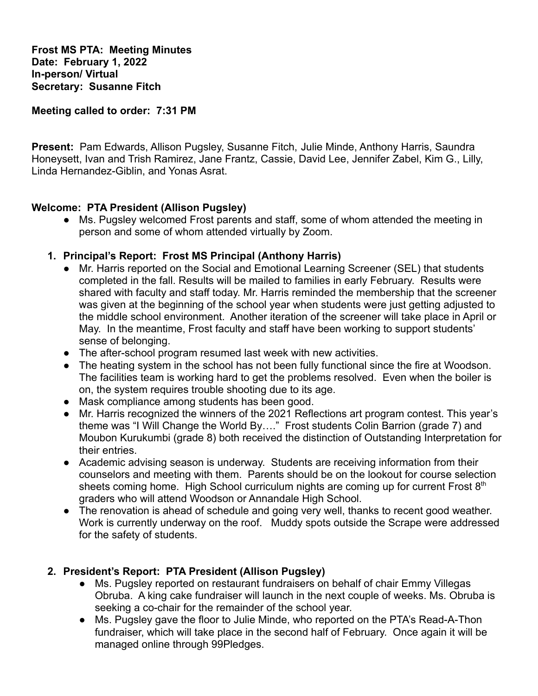**Frost MS PTA: Meeting Minutes Date: February 1, 2022 In-person/ Virtual Secretary: Susanne Fitch**

**Meeting called to order: 7:31 PM**

**Present:** Pam Edwards, Allison Pugsley, Susanne Fitch, Julie Minde, Anthony Harris, Saundra Honeysett, Ivan and Trish Ramirez, Jane Frantz, Cassie, David Lee, Jennifer Zabel, Kim G., Lilly, Linda Hernandez-Giblin, and Yonas Asrat.

#### **Welcome: PTA President (Allison Pugsley)**

- **●** Ms. Pugsley welcomed Frost parents and staff, some of whom attended the meeting in person and some of whom attended virtually by Zoom.
- **1. Principal's Report: Frost MS Principal (Anthony Harris)**
	- Mr. Harris reported on the Social and Emotional Learning Screener (SEL) that students completed in the fall. Results will be mailed to families in early February. Results were shared with faculty and staff today. Mr. Harris reminded the membership that the screener was given at the beginning of the school year when students were just getting adjusted to the middle school environment. Another iteration of the screener will take place in April or May. In the meantime, Frost faculty and staff have been working to support students' sense of belonging.
	- The after-school program resumed last week with new activities.
	- The heating system in the school has not been fully functional since the fire at Woodson. The facilities team is working hard to get the problems resolved. Even when the boiler is on, the system requires trouble shooting due to its age.
	- Mask compliance among students has been good.
	- Mr. Harris recognized the winners of the 2021 Reflections art program contest. This year's theme was "I Will Change the World By…." Frost students Colin Barrion (grade 7) and Moubon Kurukumbi (grade 8) both received the distinction of Outstanding Interpretation for their entries.
	- Academic advising season is underway. Students are receiving information from their counselors and meeting with them. Parents should be on the lookout for course selection sheets coming home. High School curriculum nights are coming up for current Frost  $8<sup>th</sup>$ graders who will attend Woodson or Annandale High School.
	- The renovation is ahead of schedule and going very well, thanks to recent good weather. Work is currently underway on the roof. Muddy spots outside the Scrape were addressed for the safety of students.

## **2. President's Report: PTA President (Allison Pugsley)**

- **●** Ms. Pugsley reported on restaurant fundraisers on behalf of chair Emmy Villegas Obruba. A king cake fundraiser will launch in the next couple of weeks. Ms. Obruba is seeking a co-chair for the remainder of the school year.
- **●** Ms. Pugsley gave the floor to Julie Minde, who reported on the PTA's Read-A-Thon fundraiser, which will take place in the second half of February. Once again it will be managed online through 99Pledges.